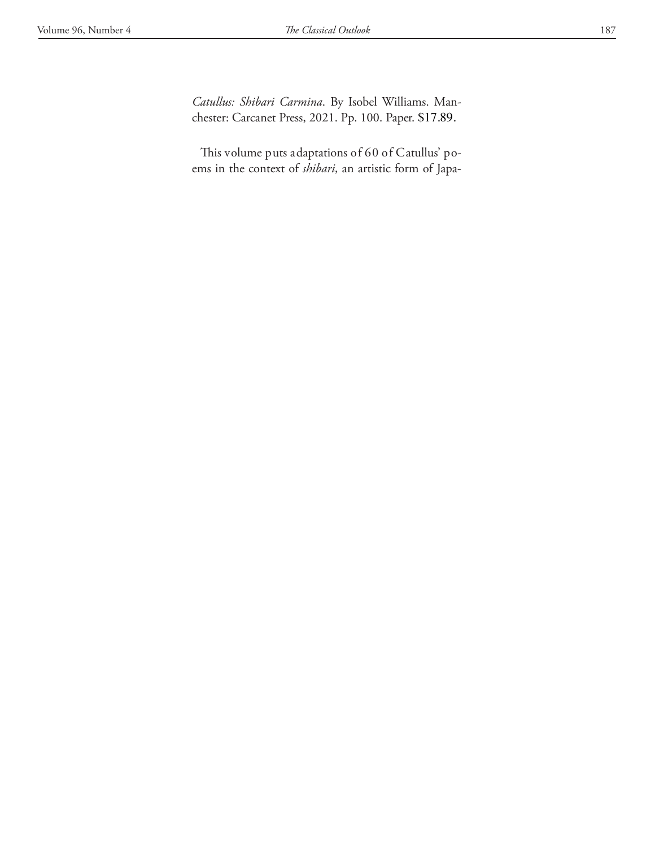*Catullus: Shibari Carmina*. By Isobel Williams. Manchester: Carcanet Press, 2021. Pp. 100. Paper. \$17.89.

This volume puts adaptations of 60 of Catullus' poems in the context of *shibari*, an artistic form of Japa-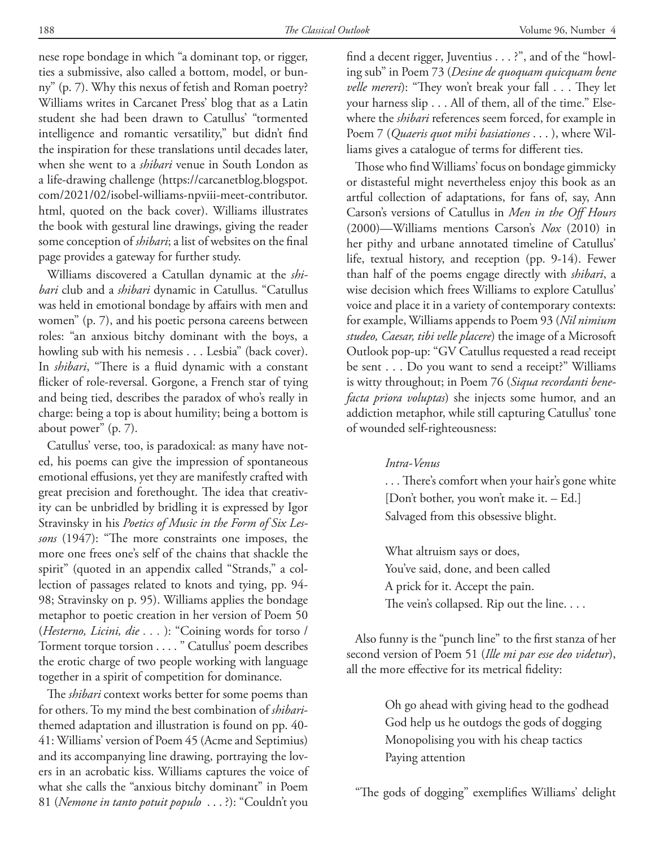nese rope bondage in which "a dominant top, or rigger, ties a submissive, also called a bottom, model, or bunny" (p. 7). Why this nexus of fetish and Roman poetry? Williams writes in Carcanet Press' blog that as a Latin student she had been drawn to Catullus' "tormented intelligence and romantic versatility," but didn't find the inspiration for these translations until decades later, when she went to a *shibari* venue in South London as a life-drawing challenge (https://carcanetblog.blogspot. com/2021/02/isobel-williams-npviii-meet-contributor. html, quoted on the back cover). Williams illustrates the book with gestural line drawings, giving the reader some conception of *shibari*; a list of websites on the final page provides a gateway for further study.

Williams discovered a Catullan dynamic at the *shibari* club and a *shibari* dynamic in Catullus. "Catullus was held in emotional bondage by affairs with men and women" (p. 7), and his poetic persona careens between roles: "an anxious bitchy dominant with the boys, a howling sub with his nemesis . . . Lesbia" (back cover). In *shibari*, "There is a fluid dynamic with a constant flicker of role-reversal. Gorgone, a French star of tying and being tied, describes the paradox of who's really in charge: being a top is about humility; being a bottom is about power" (p. 7).

Catullus' verse, too, is paradoxical: as many have noted, his poems can give the impression of spontaneous emotional effusions, yet they are manifestly crafted with great precision and forethought. The idea that creativity can be unbridled by bridling it is expressed by Igor Stravinsky in his *Poetics of Music in the Form of Six Lessons* (1947): "The more constraints one imposes, the more one frees one's self of the chains that shackle the spirit" (quoted in an appendix called "Strands," a collection of passages related to knots and tying, pp. 94- 98; Stravinsky on p. 95). Williams applies the bondage metaphor to poetic creation in her version of Poem 50 (*Hesterno, Licini, die . . .* ): "Coining words for torso / Torment torque torsion . . . . " Catullus' poem describes the erotic charge of two people working with language together in a spirit of competition for dominance.

The *shibari* context works better for some poems than for others. To my mind the best combination of *shibari*themed adaptation and illustration is found on pp. 40- 41: Williams' version of Poem 45 (Acme and Septimius) and its accompanying line drawing, portraying the lovers in an acrobatic kiss. Williams captures the voice of what she calls the "anxious bitchy dominant" in Poem 81 (*Nemone in tanto potuit populo* . . . ?): "Couldn't you

find a decent rigger, Juventius . . . ?", and of the "howling sub" in Poem 73 (*Desine de quoquam quicquam bene velle mereri*): "They won't break your fall . . . They let your harness slip . . . All of them, all of the time." Elsewhere the *shibari* references seem forced, for example in Poem 7 (*Quaeris quot mihi basiationes* . . . ), where Williams gives a catalogue of terms for different ties.

Those who find Williams' focus on bondage gimmicky or distasteful might nevertheless enjoy this book as an artful collection of adaptations, for fans of, say, Ann Carson's versions of Catullus in *Men in the Off Hours* (2000)—Williams mentions Carson's *Nox* (2010) in her pithy and urbane annotated timeline of Catullus' life, textual history, and reception (pp. 9-14). Fewer than half of the poems engage directly with *shibari*, a wise decision which frees Williams to explore Catullus' voice and place it in a variety of contemporary contexts: for example, Williams appends to Poem 93 (*Nil nimium studeo, Caesar, tibi velle placere*) the image of a Microsoft Outlook pop-up: "GV Catullus requested a read receipt be sent . . . Do you want to send a receipt?" Williams is witty throughout; in Poem 76 (*Siqua recordanti benefacta priora voluptas*) she injects some humor, and an addiction metaphor, while still capturing Catullus' tone of wounded self-righteousness:

## *Intra-Venus*

. . . There's comfort when your hair's gone white [Don't bother, you won't make it. – Ed.] Salvaged from this obsessive blight.

What altruism says or does, You've said, done, and been called A prick for it. Accept the pain. The vein's collapsed. Rip out the line. . . .

Also funny is the "punch line" to the first stanza of her second version of Poem 51 (*Ille mi par esse deo videtur*), all the more effective for its metrical fidelity:

> Oh go ahead with giving head to the godhead God help us he outdogs the gods of dogging Monopolising you with his cheap tactics Paying attention

"The gods of dogging" exemplifies Williams' delight